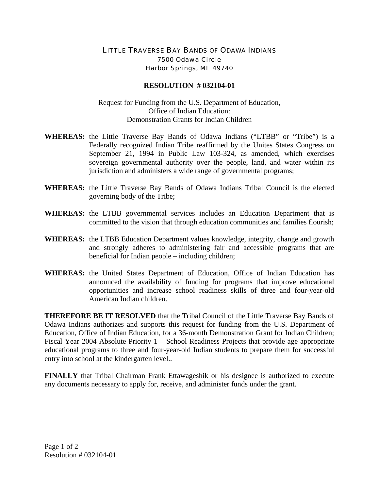## LITTLE TRAVERSE BAY BANDS OF ODAWA INDIANS 7500 Odawa Circle Harbor Springs, MI 49740

## **RESOLUTION # 032104-01**

## Request for Funding from the U.S. Department of Education, Office of Indian Education: Demonstration Grants for Indian Children

- **WHEREAS:** the Little Traverse Bay Bands of Odawa Indians ("LTBB" or "Tribe") is a Federally recognized Indian Tribe reaffirmed by the Unites States Congress on September 21, 1994 in Public Law 103-324, as amended, which exercises sovereign governmental authority over the people, land, and water within its jurisdiction and administers a wide range of governmental programs;
- **WHEREAS:** the Little Traverse Bay Bands of Odawa Indians Tribal Council is the elected governing body of the Tribe;
- **WHEREAS:** the LTBB governmental services includes an Education Department that is committed to the vision that through education communities and families flourish;
- **WHEREAS:** the LTBB Education Department values knowledge, integrity, change and growth and strongly adheres to administering fair and accessible programs that are beneficial for Indian people – including children;
- **WHEREAS:** the United States Department of Education, Office of Indian Education has announced the availability of funding for programs that improve educational opportunities and increase school readiness skills of three and four-year-old American Indian children.

**THEREFORE BE IT RESOLVED** that the Tribal Council of the Little Traverse Bay Bands of Odawa Indians authorizes and supports this request for funding from the U.S. Department of Education, Office of Indian Education, for a 36-month Demonstration Grant for Indian Children; Fiscal Year 2004 Absolute Priority 1 – School Readiness Projects that provide age appropriate educational programs to three and four-year-old Indian students to prepare them for successful entry into school at the kindergarten level..

**FINALLY** that Tribal Chairman Frank Ettawageshik or his designee is authorized to execute any documents necessary to apply for, receive, and administer funds under the grant.